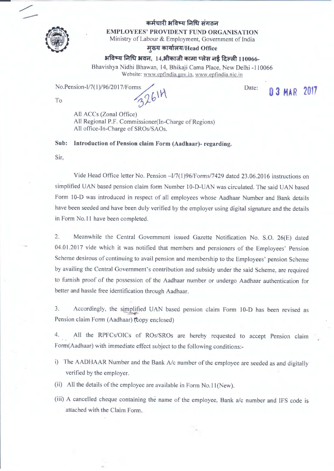

## **q; A ii, .fl 3fFctq r.rtit .ft,, oiri**

**EMPLOYEES' PROVIDENT FUND ORGANISATION** 

Ministry of Labour & Employment, Government of India

~ **cfil:tnt'I.Q/Head Office** <sup>~</sup>

## $3$  **अविष्य निधि अवन, 14,औकाजी कामा प्लेस नई दिल्ली 110066-**

Bhavishya Nidhi Bhawan, 14, Bhikaji Cama Place, New Delhi -110066 Website: www.epfindia.gov.in, www.epfindia.nic.in

No.Pension-I/7(1)/96/2017/Forms

To 2614

Date: **0 3 MAR 2017** 

All ACCs (Zonal Office) All Regional P.F. Commissioner(fn-Charge of Regions) All office-In-Charge of SROs/SAOs.

**Sub: Introduction of Pension claim Form (Aadhaar)- regarding.** 

Sir,

Vide Head Office letter No. Pension - I/7(1)96/Forms/7429 dated 23.06.2016 instructions on simplified UAN based pension claim form Number 10-D-UAN was circulated. The said UAN based Form 10-D was introduced in respect of all employees whose Aadhaar Number and Bank details have been seeded and have been duly verified by the employer using digital signature and the details in Form No.11 have been completed.

2. Meanwhile the Central Government issued Gazette Notification No. S.O. 26(E) dated 04.01.2017 vide which it was notified that members and pensioners of the Employees' Pension Scheme desirous of continuing to avail pension and membership to the Employees' pension Scheme by availing the Central Government's contribution and subsidy under the said Scheme, are required to furnish proof of the possession of the Aadhaar number or undergo Aadhaar authentication for better and hassle free identification through Aadhaar.

3. Accordingly, the simplified UAN based pension claim Form 10-D has been revised as Pension claim Form (Aadhaar) (topy enclosed)

All the RPFCs/OICs of ROs/SROs are hereby requested to accept Pension claim Form(Aadhaar) with immediate effect subject to the following conditions:-

- i) The AADHAAR Number and the Bank A/c number of the employee are seeded as and digitally verified by the employer.
- (ii) All the details of the employee are available in Form  $No.11(New)$ .
- (iii) A cancelled cheque containing the name of the employee, Bank ale number and IFS code is attached with the Claim Form.